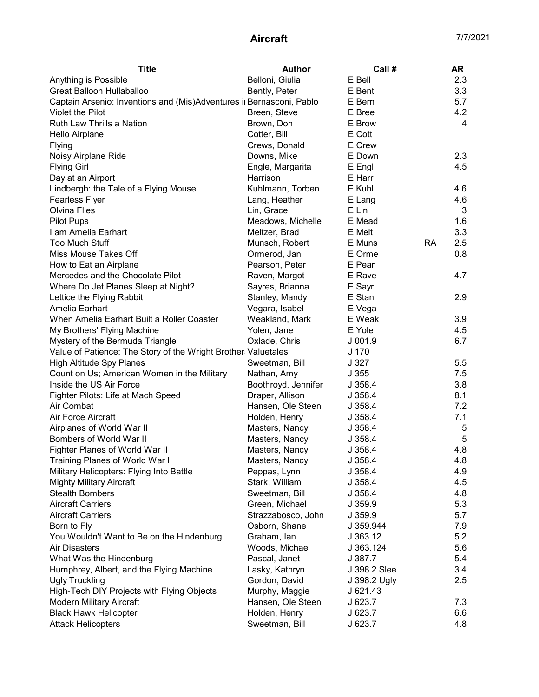| <b>Title</b>                                                         | <b>Author</b>       | Call#        |           | AR  |
|----------------------------------------------------------------------|---------------------|--------------|-----------|-----|
| Anything is Possible                                                 | Belloni, Giulia     | E Bell       |           | 2.3 |
| Great Balloon Hullaballoo                                            | Bently, Peter       | E Bent       |           | 3.3 |
| Captain Arsenio: Inventions and (Mis)Adventures ir Bernasconi, Pablo |                     | E Bern       |           | 5.7 |
| Violet the Pilot                                                     | Breen, Steve        | E Bree       |           | 4.2 |
| Ruth Law Thrills a Nation                                            | Brown, Don          | E Brow       |           | 4   |
| Hello Airplane                                                       | Cotter, Bill        | E Cott       |           |     |
| Flying                                                               | Crews, Donald       | E Crew       |           |     |
| Noisy Airplane Ride                                                  | Downs, Mike         | E Down       |           | 2.3 |
| <b>Flying Girl</b>                                                   | Engle, Margarita    | E Engl       |           | 4.5 |
| Day at an Airport                                                    | Harrison            | E Harr       |           |     |
| Lindbergh: the Tale of a Flying Mouse                                | Kuhlmann, Torben    | E Kuhl       |           | 4.6 |
| Fearless Flyer                                                       | Lang, Heather       | E Lang       |           | 4.6 |
| <b>Olvina Flies</b>                                                  | Lin, Grace          | E Lin        |           | 3   |
| <b>Pilot Pups</b>                                                    | Meadows, Michelle   | E Mead       |           | 1.6 |
| I am Amelia Earhart                                                  | Meltzer, Brad       | E Melt       |           | 3.3 |
| Too Much Stuff                                                       | Munsch, Robert      | E Muns       | <b>RA</b> | 2.5 |
| Miss Mouse Takes Off                                                 | Ormerod, Jan        | E Orme       |           | 0.8 |
| How to Eat an Airplane                                               | Pearson, Peter      | E Pear       |           |     |
| Mercedes and the Chocolate Pilot                                     | Raven, Margot       | E Rave       |           | 4.7 |
| Where Do Jet Planes Sleep at Night?                                  | Sayres, Brianna     | E Sayr       |           |     |
| Lettice the Flying Rabbit                                            | Stanley, Mandy      | E Stan       |           | 2.9 |
| Amelia Earhart                                                       | Vegara, Isabel      | E Vega       |           |     |
| When Amelia Earhart Built a Roller Coaster                           | Weakland, Mark      | E Weak       |           | 3.9 |
| My Brothers' Flying Machine                                          | Yolen, Jane         | E Yole       |           | 4.5 |
| Mystery of the Bermuda Triangle                                      | Oxlade, Chris       | $J$ 001.9    |           | 6.7 |
| Value of Patience: The Story of the Wright Brother: Valuetales       |                     | J 170        |           |     |
| <b>High Altitude Spy Planes</b>                                      | Sweetman, Bill      | J 327        |           | 5.5 |
| Count on Us; American Women in the Military                          | Nathan, Amy         | J355         |           | 7.5 |
| Inside the US Air Force                                              | Boothroyd, Jennifer | J358.4       |           | 3.8 |
| Fighter Pilots: Life at Mach Speed                                   | Draper, Allison     | J358.4       |           | 8.1 |
| Air Combat                                                           | Hansen, Ole Steen   | J358.4       |           | 7.2 |
| Air Force Aircraft                                                   | Holden, Henry       | J358.4       |           | 7.1 |
| Airplanes of World War II                                            | Masters, Nancy      | J358.4       |           | 5   |
| Bombers of World War II                                              | Masters, Nancy      | J 358.4      |           | 5   |
| Fighter Planes of World War II                                       | Masters, Nancy      | J 358.4      |           | 4.8 |
| Training Planes of World War II                                      | Masters, Nancy      | J 358.4      |           | 4.8 |
| Military Helicopters: Flying Into Battle                             | Peppas, Lynn        | J 358.4      |           | 4.9 |
| <b>Mighty Military Aircraft</b>                                      | Stark, William      | J 358.4      |           | 4.5 |
| <b>Stealth Bombers</b>                                               | Sweetman, Bill      | J 358.4      |           | 4.8 |
| <b>Aircraft Carriers</b>                                             | Green, Michael      | J 359.9      |           | 5.3 |
| <b>Aircraft Carriers</b>                                             | Strazzabosco, John  | J 359.9      |           | 5.7 |
| Born to Fly                                                          | Osborn, Shane       | J 359.944    |           | 7.9 |
| You Wouldn't Want to Be on the Hindenburg                            | Graham, lan         | J 363.12     |           | 5.2 |
| Air Disasters                                                        | Woods, Michael      | J 363.124    |           | 5.6 |
| What Was the Hindenburg                                              | Pascal, Janet       | J 387.7      |           | 5.4 |
| Humphrey, Albert, and the Flying Machine                             | Lasky, Kathryn      | J 398.2 Slee |           | 3.4 |
| <b>Ugly Truckling</b>                                                | Gordon, David       | J 398.2 Ugly |           | 2.5 |
| High-Tech DIY Projects with Flying Objects                           | Murphy, Maggie      | J 621.43     |           |     |
| <b>Modern Military Aircraft</b>                                      | Hansen, Ole Steen   | J623.7       |           | 7.3 |
| <b>Black Hawk Helicopter</b>                                         | Holden, Henry       | J623.7       |           | 6.6 |
| <b>Attack Helicopters</b>                                            | Sweetman, Bill      | J 623.7      |           | 4.8 |
|                                                                      |                     |              |           |     |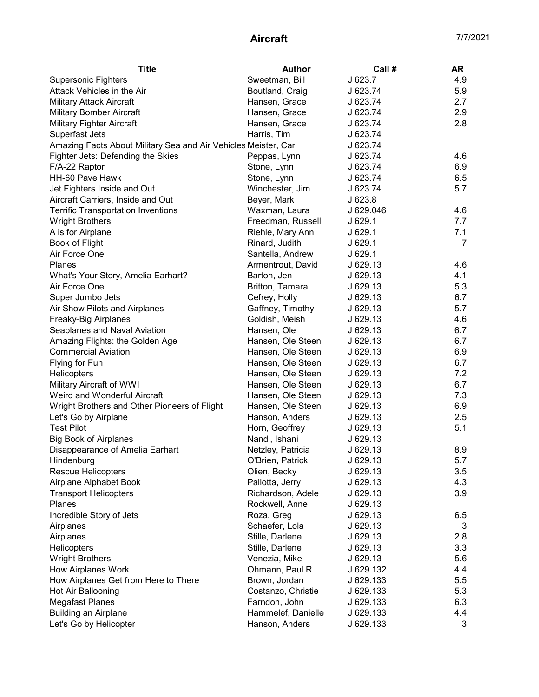| <b>Title</b>                                                    | <b>Author</b>      | Call#     | AR  |
|-----------------------------------------------------------------|--------------------|-----------|-----|
| <b>Supersonic Fighters</b>                                      | Sweetman, Bill     | J 623.7   | 4.9 |
| Attack Vehicles in the Air                                      | Boutland, Craig    | J 623.74  | 5.9 |
| <b>Military Attack Aircraft</b>                                 | Hansen, Grace      | J 623.74  | 2.7 |
| <b>Military Bomber Aircraft</b>                                 | Hansen, Grace      | J 623.74  | 2.9 |
| <b>Military Fighter Aircraft</b>                                | Hansen, Grace      | J 623.74  | 2.8 |
| Superfast Jets                                                  | Harris, Tim        | J 623.74  |     |
| Amazing Facts About Military Sea and Air Vehicles Meister, Cari |                    | J 623.74  |     |
| Fighter Jets: Defending the Skies                               | Peppas, Lynn       | J 623.74  | 4.6 |
| F/A-22 Raptor                                                   | Stone, Lynn        | J 623.74  | 6.9 |
| HH-60 Pave Hawk                                                 | Stone, Lynn        | J 623.74  | 6.5 |
| Jet Fighters Inside and Out                                     | Winchester, Jim    | J 623.74  | 5.7 |
| Aircraft Carriers, Inside and Out                               | Beyer, Mark        | J623.8    |     |
| <b>Terrific Transportation Inventions</b>                       | Waxman, Laura      | J 629.046 | 4.6 |
| <b>Wright Brothers</b>                                          | Freedman, Russell  | J629.1    | 7.7 |
| A is for Airplane                                               | Riehle, Mary Ann   | J629.1    | 7.1 |
| Book of Flight                                                  | Rinard, Judith     | J 629.1   | 7   |
| Air Force One                                                   | Santella, Andrew   | J629.1    |     |
| Planes                                                          | Armentrout, David  | J 629.13  | 4.6 |
| What's Your Story, Amelia Earhart?                              | Barton, Jen        | J629.13   | 4.1 |
| Air Force One                                                   | Britton, Tamara    | J 629.13  | 5.3 |
| Super Jumbo Jets                                                | Cefrey, Holly      | J629.13   | 6.7 |
| Air Show Pilots and Airplanes                                   | Gaffney, Timothy   | J 629.13  | 5.7 |
| Freaky-Big Airplanes                                            | Goldish, Meish     | J 629.13  | 4.6 |
| Seaplanes and Naval Aviation                                    | Hansen, Ole        | J629.13   | 6.7 |
| Amazing Flights: the Golden Age                                 | Hansen, Ole Steen  | J 629.13  | 6.7 |
| <b>Commercial Aviation</b>                                      | Hansen, Ole Steen  | J 629.13  | 6.9 |
| Flying for Fun                                                  | Hansen, Ole Steen  | J629.13   | 6.7 |
| Helicopters                                                     | Hansen, Ole Steen  | J 629.13  | 7.2 |
| Military Aircraft of WWI                                        | Hansen, Ole Steen  | J 629.13  | 6.7 |
| Weird and Wonderful Aircraft                                    | Hansen, Ole Steen  | J 629.13  | 7.3 |
| Wright Brothers and Other Pioneers of Flight                    | Hansen, Ole Steen  | J 629.13  | 6.9 |
| Let's Go by Airplane                                            | Hanson, Anders     | J629.13   | 2.5 |
| <b>Test Pilot</b>                                               | Horn, Geoffrey     | J629.13   | 5.1 |
| <b>Big Book of Airplanes</b>                                    | Nandi, Ishani      | J 629.13  |     |
| Disappearance of Amelia Earhart                                 | Netzley, Patricia  | J 629.13  | 8.9 |
| Hindenburg                                                      | O'Brien, Patrick   | J 629.13  | 5.7 |
| Rescue Helicopters                                              | Olien, Becky       | J 629.13  | 3.5 |
| Airplane Alphabet Book                                          | Pallotta, Jerry    | J 629.13  | 4.3 |
| <b>Transport Helicopters</b>                                    | Richardson, Adele  | J 629.13  | 3.9 |
| <b>Planes</b>                                                   | Rockwell, Anne     | J 629.13  |     |
| Incredible Story of Jets                                        |                    |           |     |
|                                                                 | Roza, Greg         | J 629.13  | 6.5 |
| Airplanes                                                       | Schaefer, Lola     | J 629.13  | 3   |
| Airplanes                                                       | Stille, Darlene    | J 629.13  | 2.8 |
| <b>Helicopters</b>                                              | Stille, Darlene    | J 629.13  | 3.3 |
| <b>Wright Brothers</b>                                          | Venezia, Mike      | J 629.13  | 5.6 |
| <b>How Airplanes Work</b>                                       | Ohmann, Paul R.    | J 629.132 | 4.4 |
| How Airplanes Get from Here to There                            | Brown, Jordan      | J 629.133 | 5.5 |
| Hot Air Ballooning                                              | Costanzo, Christie | J 629.133 | 5.3 |
| <b>Megafast Planes</b>                                          | Farndon, John      | J 629.133 | 6.3 |
| <b>Building an Airplane</b>                                     | Hammelef, Danielle | J 629.133 | 4.4 |
| Let's Go by Helicopter                                          | Hanson, Anders     | J 629.133 | 3   |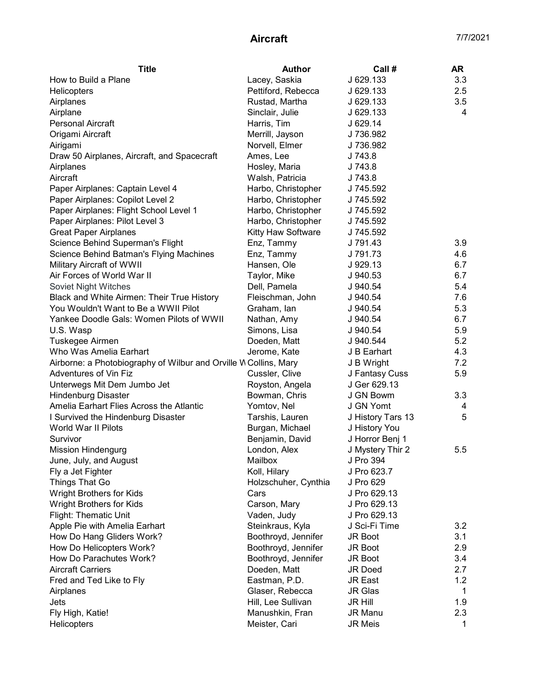| <b>Title</b>                                                     | Author               | Call#             | AR  |
|------------------------------------------------------------------|----------------------|-------------------|-----|
| How to Build a Plane                                             | Lacey, Saskia        | J 629.133         | 3.3 |
| Helicopters                                                      | Pettiford, Rebecca   | J 629.133         | 2.5 |
| Airplanes                                                        | Rustad, Martha       | J 629.133         | 3.5 |
| Airplane                                                         | Sinclair, Julie      | J 629.133         | 4   |
| <b>Personal Aircraft</b>                                         | Harris, Tim          | J 629.14          |     |
| Origami Aircraft                                                 | Merrill, Jayson      | J 736.982         |     |
| Airigami                                                         | Norvell, Elmer       | J 736.982         |     |
| Draw 50 Airplanes, Aircraft, and Spacecraft                      | Ames, Lee            | J 743.8           |     |
| Airplanes                                                        | Hosley, Maria        | J 743.8           |     |
| Aircraft                                                         | Walsh, Patricia      | J 743.8           |     |
| Paper Airplanes: Captain Level 4                                 | Harbo, Christopher   | J 745.592         |     |
| Paper Airplanes: Copilot Level 2                                 | Harbo, Christopher   | J 745.592         |     |
| Paper Airplanes: Flight School Level 1                           | Harbo, Christopher   | J 745.592         |     |
| Paper Airplanes: Pilot Level 3                                   | Harbo, Christopher   | J 745.592         |     |
| <b>Great Paper Airplanes</b>                                     | Kitty Haw Software   | J 745.592         |     |
| Science Behind Superman's Flight                                 | Enz, Tammy           | J 791.43          | 3.9 |
| Science Behind Batman's Flying Machines                          | Enz, Tammy           | J 791.73          | 4.6 |
| Military Aircraft of WWII                                        | Hansen, Ole          | J 929.13          | 6.7 |
| Air Forces of World War II                                       | Taylor, Mike         | J 940.53          | 6.7 |
| Soviet Night Witches                                             | Dell, Pamela         | J 940.54          | 5.4 |
| Black and White Airmen: Their True History                       | Fleischman, John     | J 940.54          | 7.6 |
| You Wouldn't Want to Be a WWII Pilot                             | Graham, Ian          | J 940.54          | 5.3 |
| Yankee Doodle Gals: Women Pilots of WWII                         | Nathan, Amy          | J 940.54          | 6.7 |
| U.S. Wasp                                                        | Simons, Lisa         | J 940.54          | 5.9 |
| Tuskegee Airmen                                                  | Doeden, Matt         | J 940.544         | 5.2 |
| Who Was Amelia Earhart                                           | Jerome, Kate         | J B Earhart       | 4.3 |
| Airborne: a Photobiography of Wilbur and Orville W Collins, Mary |                      | J B Wright        | 7.2 |
| Adventures of Vin Fiz                                            | Cussler, Clive       | J Fantasy Cuss    | 5.9 |
| Unterwegs Mit Dem Jumbo Jet                                      | Royston, Angela      | J Ger 629.13      |     |
| <b>Hindenburg Disaster</b>                                       | Bowman, Chris        | J GN Bowm         | 3.3 |
| Amelia Earhart Flies Across the Atlantic                         | Yomtov, Nel          | J GN Yomt         | 4   |
| I Survived the Hindenburg Disaster                               | Tarshis, Lauren      | J History Tars 13 | 5   |
| World War II Pilots                                              | Burgan, Michael      | J History You     |     |
| Survivor                                                         | Benjamin, David      | J Horror Benj 1   |     |
| <b>Mission Hindengurg</b>                                        | London, Alex         | J Mystery Thir 2  | 5.5 |
| June, July, and August                                           | Mailbox              | J Pro 394         |     |
| Fly a Jet Fighter                                                | Koll, Hilary         | J Pro 623.7       |     |
| Things That Go                                                   | Holzschuher, Cynthia | J Pro 629         |     |
| Wright Brothers for Kids                                         | Cars                 | J Pro 629.13      |     |
| <b>Wright Brothers for Kids</b>                                  | Carson, Mary         | J Pro 629.13      |     |
| Flight: Thematic Unit                                            | Vaden, Judy          | J Pro 629.13      |     |
| Apple Pie with Amelia Earhart                                    | Steinkraus, Kyla     | J Sci-Fi Time     | 3.2 |
| How Do Hang Gliders Work?                                        | Boothroyd, Jennifer  | <b>JR Boot</b>    | 3.1 |
| How Do Helicopters Work?                                         | Boothroyd, Jennifer  | JR Boot           | 2.9 |
| How Do Parachutes Work?                                          | Boothroyd, Jennifer  | JR Boot           | 3.4 |
| <b>Aircraft Carriers</b>                                         | Doeden, Matt         | <b>JR Doed</b>    | 2.7 |
| Fred and Ted Like to Fly                                         | Eastman, P.D.        | <b>JR East</b>    | 1.2 |
| Airplanes                                                        | Glaser, Rebecca      | <b>JR Glas</b>    | 1   |
| Jets                                                             | Hill, Lee Sullivan   | <b>JR Hill</b>    | 1.9 |
| Fly High, Katie!                                                 | Manushkin, Fran      | JR Manu           | 2.3 |
| <b>Helicopters</b>                                               | Meister, Cari        | <b>JR Meis</b>    | 1   |
|                                                                  |                      |                   |     |